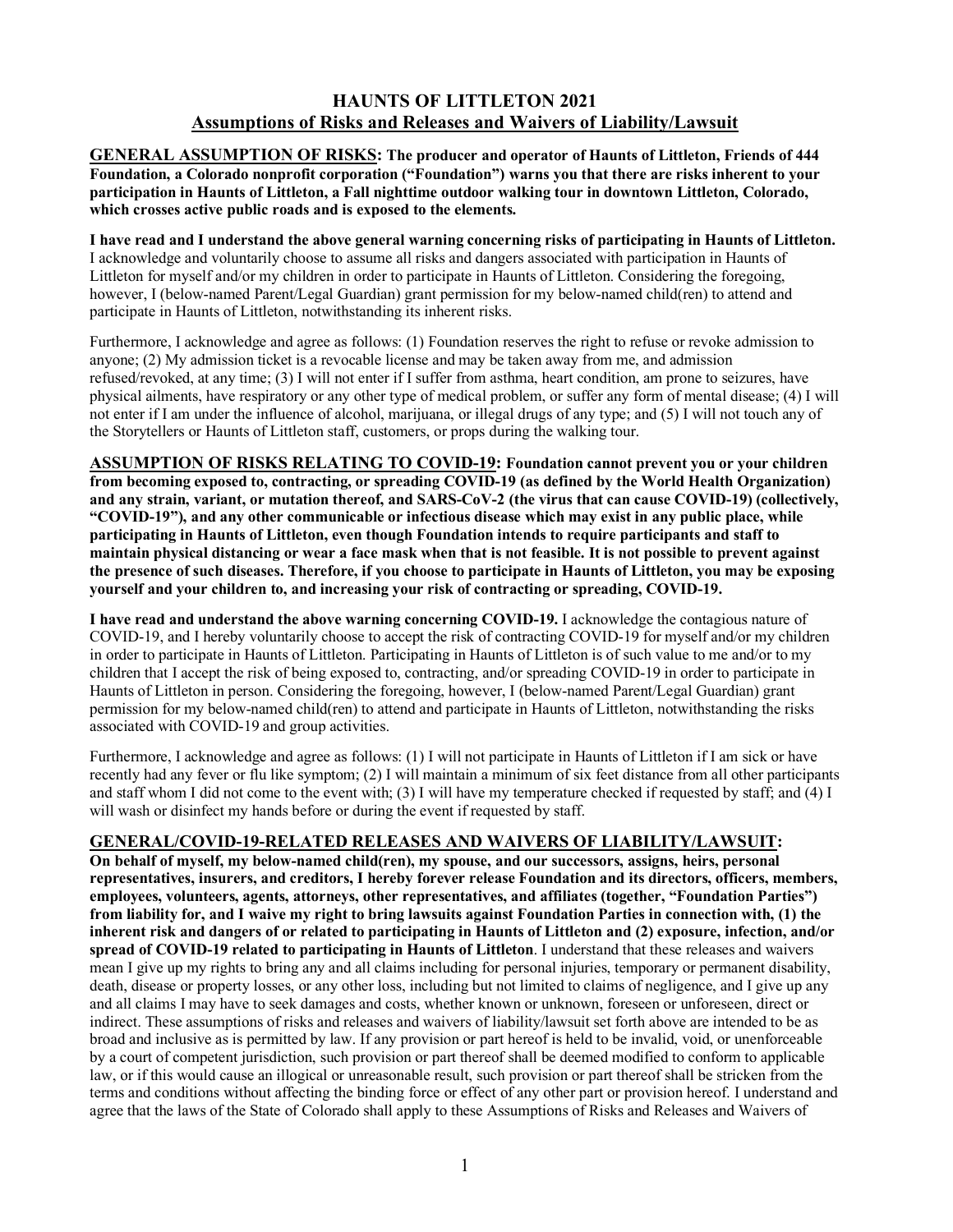## **HAUNTS OF LITTLETON 2021 Assumptions of Risks and Releases and Waivers of Liability/Lawsuit**

**GENERAL ASSUMPTION OF RISKS: The producer and operator of Haunts of Littleton, Friends of 444 Foundation, a Colorado nonprofit corporation ("Foundation") warns you that there are risks inherent to your participation in Haunts of Littleton, a Fall nighttime outdoor walking tour in downtown Littleton, Colorado, which crosses active public roads and is exposed to the elements.**

**I have read and I understand the above general warning concerning risks of participating in Haunts of Littleton.** 

I acknowledge and voluntarily choose to assume all risks and dangers associated with participation in Haunts of Littleton for myself and/or my children in order to participate in Haunts of Littleton. Considering the foregoing, however, I (below-named Parent/Legal Guardian) grant permission for my below-named child(ren) to attend and participate in Haunts of Littleton, notwithstanding its inherent risks.

Furthermore, I acknowledge and agree as follows: (1) Foundation reserves the right to refuse or revoke admission to anyone; (2) My admission ticket is a revocable license and may be taken away from me, and admission refused/revoked, at any time; (3) I will not enter if I suffer from asthma, heart condition, am prone to seizures, have physical ailments, have respiratory or any other type of medical problem, or suffer any form of mental disease; (4) I will not enter if I am under the influence of alcohol, marijuana, or illegal drugs of any type; and (5) I will not touch any of the Storytellers or Haunts of Littleton staff, customers, or props during the walking tour.

**ASSUMPTION OF RISKS RELATING TO COVID-19: Foundation cannot prevent you or your children from becoming exposed to, contracting, or spreading COVID-19 (as defined by the World Health Organization) and any strain, variant, or mutation thereof, and SARS-CoV-2 (the virus that can cause COVID-19) (collectively, "COVID-19"), and any other communicable or infectious disease which may exist in any public place, while participating in Haunts of Littleton, even though Foundation intends to require participants and staff to maintain physical distancing or wear a face mask when that is not feasible. It is not possible to prevent against the presence of such diseases. Therefore, if you choose to participate in Haunts of Littleton, you may be exposing yourself and your children to, and increasing your risk of contracting or spreading, COVID-19.** 

**I have read and understand the above warning concerning COVID-19.** I acknowledge the contagious nature of COVID-19, and I hereby voluntarily choose to accept the risk of contracting COVID-19 for myself and/or my children in order to participate in Haunts of Littleton. Participating in Haunts of Littleton is of such value to me and/or to my children that I accept the risk of being exposed to, contracting, and/or spreading COVID-19 in order to participate in Haunts of Littleton in person. Considering the foregoing, however, I (below-named Parent/Legal Guardian) grant permission for my below-named child(ren) to attend and participate in Haunts of Littleton, notwithstanding the risks associated with COVID-19 and group activities.

Furthermore, I acknowledge and agree as follows: (1) I will not participate in Haunts of Littleton if I am sick or have recently had any fever or flu like symptom; (2) I will maintain a minimum of six feet distance from all other participants and staff whom I did not come to the event with; (3) I will have my temperature checked if requested by staff; and (4) I will wash or disinfect my hands before or during the event if requested by staff.

## **GENERAL/COVID-19-RELATED RELEASES AND WAIVERS OF LIABILITY/LAWSUIT:**

**On behalf of myself, my below-named child(ren), my spouse, and our successors, assigns, heirs, personal representatives, insurers, and creditors, I hereby forever release Foundation and its directors, officers, members, employees, volunteers, agents, attorneys, other representatives, and affiliates (together, "Foundation Parties") from liability for, and I waive my right to bring lawsuits against Foundation Parties in connection with, (1) the inherent risk and dangers of or related to participating in Haunts of Littleton and (2) exposure, infection, and/or spread of COVID-19 related to participating in Haunts of Littleton**. I understand that these releases and waivers mean I give up my rights to bring any and all claims including for personal injuries, temporary or permanent disability, death, disease or property losses, or any other loss, including but not limited to claims of negligence, and I give up any and all claims I may have to seek damages and costs, whether known or unknown, foreseen or unforeseen, direct or indirect. These assumptions of risks and releases and waivers of liability/lawsuit set forth above are intended to be as broad and inclusive as is permitted by law. If any provision or part hereof is held to be invalid, void, or unenforceable by a court of competent jurisdiction, such provision or part thereof shall be deemed modified to conform to applicable law, or if this would cause an illogical or unreasonable result, such provision or part thereof shall be stricken from the terms and conditions without affecting the binding force or effect of any other part or provision hereof. I understand and agree that the laws of the State of Colorado shall apply to these Assumptions of Risks and Releases and Waivers of